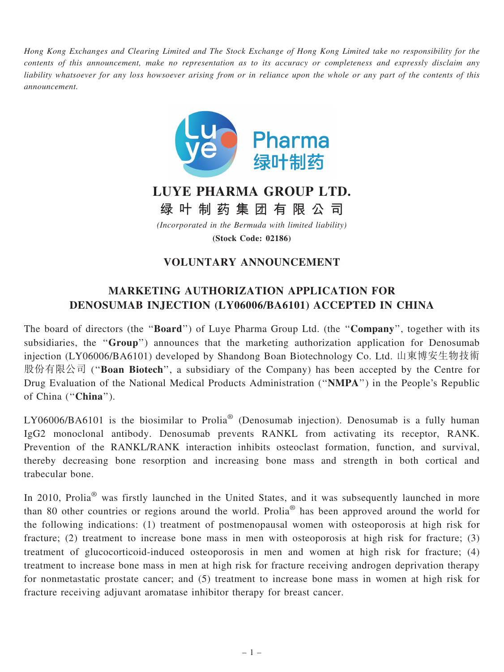Hong Kong Exchanges and Clearing Limited and The Stock Exchange of Hong Kong Limited take no responsibility for the contents of this announcement, make no representation as to its accuracy or completeness and expressly disclaim any liability whatsoever for any loss howsoever arising from or in reliance upon the whole or any part of the contents of this announcement.



## LUYE PHARMA GROUP LTD.

绿 叶 制 药 集 团 有 限 公 司

(Incorporated in the Bermuda with limited liability) (Stock Code: 02186)

## VOLUNTARY ANNOUNCEMENT

## MARKETING AUTHORIZATION APPLICATION FOR DENOSUMAB INJECTION (LY06006/BA6101) ACCEPTED IN CHINA

The board of directors (the "**Board**") of Luye Pharma Group Ltd. (the "**Company**", together with its subsidiaries, the "Group") announces that the marketing authorization application for Denosumab injection (LY06006/BA6101) developed by Shandong Boan Biotechnology Co. Ltd. 山東博安生物技術 股份有限公司 ("Boan Biotech", a subsidiary of the Company) has been accepted by the Centre for Drug Evaluation of the National Medical Products Administration (''NMPA'') in the People's Republic of China ("China").

LY06006/BA6101 is the biosimilar to Prolia<sup>®</sup> (Denosumab injection). Denosumab is a fully human IgG2 monoclonal antibody. Denosumab prevents RANKL from activating its receptor, RANK. Prevention of the RANKL/RANK interaction inhibits osteoclast formation, function, and survival, thereby decreasing bone resorption and increasing bone mass and strength in both cortical and trabecular bone.

In 2010, Prolia<sup>®</sup> was firstly launched in the United States, and it was subsequently launched in more than 80 other countries or regions around the world. Prolia® has been approved around the world for the following indications: (1) treatment of postmenopausal women with osteoporosis at high risk for fracture; (2) treatment to increase bone mass in men with osteoporosis at high risk for fracture; (3) treatment of glucocorticoid-induced osteoporosis in men and women at high risk for fracture; (4) treatment to increase bone mass in men at high risk for fracture receiving androgen deprivation therapy for nonmetastatic prostate cancer; and (5) treatment to increase bone mass in women at high risk for fracture receiving adjuvant aromatase inhibitor therapy for breast cancer.